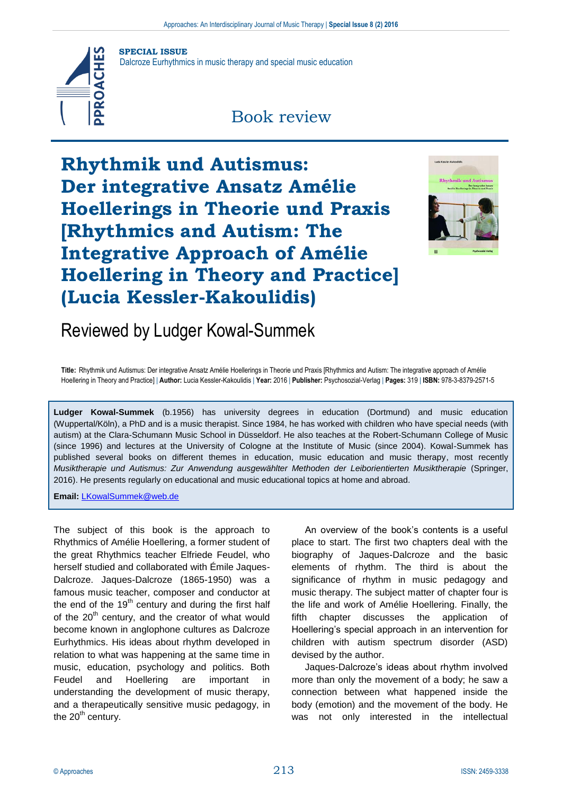

**SPECIAL ISSUE**

Dalcroze Eurhythmics in music therapy and special music education

## Book review

**Rhythmik und Autismus: Der integrative Ansatz Amélie Hoellerings in Theorie und Praxis [Rhythmics and Autism: The Integrative Approach of Amélie Hoellering in Theory and Practice] (Lucia Kessler-Kakoulidis)**



## Reviewed by Ludger Kowal-Summek

**Title:** Rhythmik und Autismus: Der integrative Ansatz Amélie Hoellerings in Theorie und Praxis [Rhythmics and Autism: The integrative approach of Amélie Hoellering in Theory and Practice] | **Author:** Lucia Kessler-Kakoulidis | **Year:** 2016 | **Publisher:** Psychosozial-Verlag | **Pages:** 319 | **ISBN:** 978-3-8379-2571-5

**Ludger Kowal-Summek** (b.1956) has university degrees in education (Dortmund) and music education (Wuppertal/Köln), a PhD and is a music therapist. Since 1984, he has worked with children who have special needs (with autism) at the Clara-Schumann Music School in Düsseldorf. He also teaches at the Robert-Schumann College of Music (since 1996) and lectures at the University of Cologne at the Institute of Music (since 2004). Kowal-Summek has published several books on different themes in education, music education and music therapy, most recently *Musiktherapie und Autismus: Zur Anwendung ausgewählter Methoden der Leiborientierten Musiktherapie* (Springer, 2016). He presents regularly on educational and music educational topics at home and abroad.

**Email:** [LKowalSummek@web.de](mailto:LKowalSummek@web.de)

The subject of this book is the approach to Rhythmics of Amélie Hoellering, a former student of the great Rhythmics teacher Elfriede Feudel, who herself studied and collaborated with Émile Jaques-Dalcroze. Jaques-Dalcroze (1865-1950) was a famous music teacher, composer and conductor at the end of the  $19<sup>th</sup>$  century and during the first half of the  $20<sup>th</sup>$  century, and the creator of what would become known in anglophone cultures as Dalcroze Eurhythmics. His ideas about rhythm developed in relation to what was happening at the same time in music, education, psychology and politics. Both Feudel and Hoellering are important in understanding the development of music therapy, and a therapeutically sensitive music pedagogy, in the  $20<sup>th</sup>$  century.

An overview of the book's contents is a useful place to start. The first two chapters deal with the biography of Jaques-Dalcroze and the basic elements of rhythm. The third is about the significance of rhythm in music pedagogy and music therapy. The subject matter of chapter four is the life and work of Amélie Hoellering. Finally, the fifth chapter discusses the application of Hoellering's special approach in an intervention for children with autism spectrum disorder (ASD) devised by the author.

Jaques-Dalcroze's ideas about rhythm involved more than only the movement of a body; he saw a connection between what happened inside the body (emotion) and the movement of the body. He was not only interested in the intellectual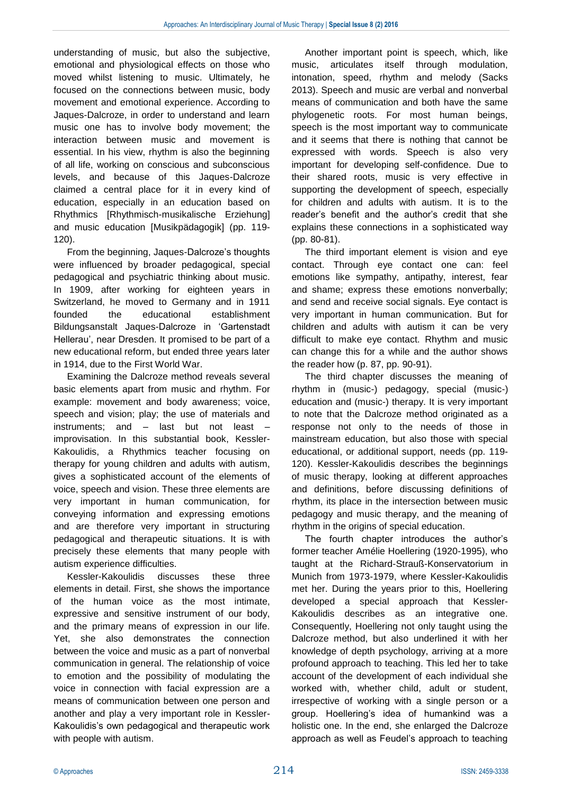understanding of music, but also the subjective, emotional and physiological effects on those who moved whilst listening to music. Ultimately, he focused on the connections between music, body movement and emotional experience. According to Jaques-Dalcroze, in order to understand and learn music one has to involve body movement; the interaction between music and movement is essential. In his view, rhythm is also the beginning of all life, working on conscious and subconscious levels, and because of this Jaques-Dalcroze claimed a central place for it in every kind of education, especially in an education based on Rhythmics [Rhythmisch-musikalische Erziehung] and music education [Musikpädagogik] (pp. 119- 120).

From the beginning, Jaques-Dalcroze's thoughts were influenced by broader pedagogical, special pedagogical and psychiatric thinking about music. In 1909, after working for eighteen years in Switzerland, he moved to Germany and in 1911 founded the educational establishment Bildungsanstalt Jaques-Dalcroze in 'Gartenstadt Hellerau', near Dresden. It promised to be part of a new educational reform, but ended three years later in 1914, due to the First World War.

Examining the Dalcroze method reveals several basic elements apart from music and rhythm. For example: movement and body awareness; voice, speech and vision; play; the use of materials and instruments; and – last but not least – improvisation. In this substantial book, Kessler-Kakoulidis, a Rhythmics teacher focusing on therapy for young children and adults with autism, gives a sophisticated account of the elements of voice, speech and vision. These three elements are very important in human communication, for conveying information and expressing emotions and are therefore very important in structuring pedagogical and therapeutic situations. It is with precisely these elements that many people with autism experience difficulties.

Kessler-Kakoulidis discusses these three elements in detail. First, she shows the importance of the human voice as the most intimate, expressive and sensitive instrument of our body, and the primary means of expression in our life. Yet, she also demonstrates the connection between the voice and music as a part of nonverbal communication in general. The relationship of voice to emotion and the possibility of modulating the voice in connection with facial expression are a means of communication between one person and another and play a very important role in Kessler-Kakoulidis's own pedagogical and therapeutic work with people with autism.

Another important point is speech, which, like music, articulates itself through modulation, intonation, speed, rhythm and melody (Sacks 2013). Speech and music are verbal and nonverbal means of communication and both have the same phylogenetic roots. For most human beings, speech is the most important way to communicate and it seems that there is nothing that cannot be expressed with words. Speech is also very important for developing self-confidence. Due to their shared roots, music is very effective in supporting the development of speech, especially for children and adults with autism. It is to the reader's benefit and the author's credit that she explains these connections in a sophisticated way (pp. 80-81).

The third important element is vision and eye contact. Through eye contact one can: feel emotions like sympathy, antipathy, interest, fear and shame; express these emotions nonverbally; and send and receive social signals. Eye contact is very important in human communication. But for children and adults with autism it can be very difficult to make eye contact. Rhythm and music can change this for a while and the author shows the reader how (p. 87, pp. 90-91).

The third chapter discusses the meaning of rhythm in (music-) pedagogy, special (music-) education and (music-) therapy. It is very important to note that the Dalcroze method originated as a response not only to the needs of those in mainstream education, but also those with special educational, or additional support, needs (pp. 119- 120). Kessler-Kakoulidis describes the beginnings of music therapy, looking at different approaches and definitions, before discussing definitions of rhythm, its place in the intersection between music pedagogy and music therapy, and the meaning of rhythm in the origins of special education.

The fourth chapter introduces the author's former teacher Amélie Hoellering (1920-1995), who taught at the Richard-Strauß-Konservatorium in Munich from 1973-1979, where Kessler-Kakoulidis met her. During the years prior to this, Hoellering developed a special approach that Kessler-Kakoulidis describes as an integrative one. Consequently, Hoellering not only taught using the Dalcroze method, but also underlined it with her knowledge of depth psychology, arriving at a more profound approach to teaching. This led her to take account of the development of each individual she worked with, whether child, adult or student, irrespective of working with a single person or a group. Hoellering's idea of humankind was a holistic one. In the end, she enlarged the Dalcroze approach as well as Feudel's approach to teaching